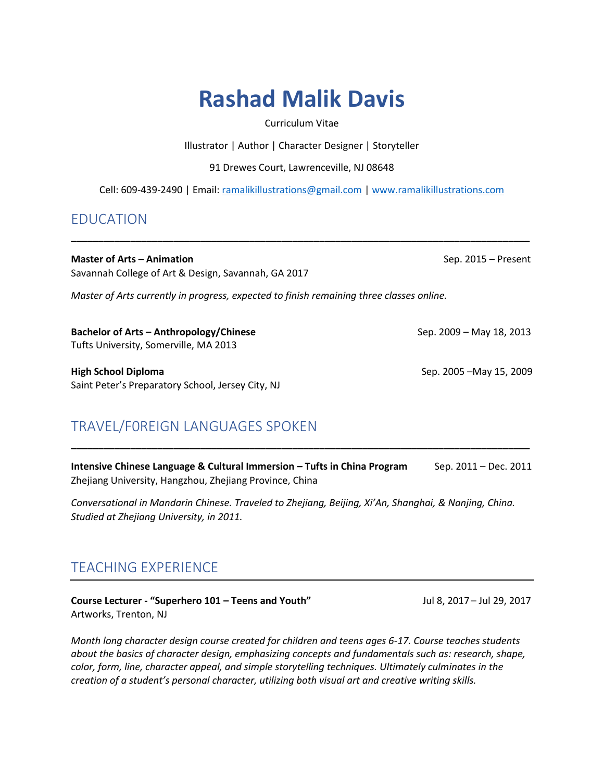# **Rashad Malik Davis**

Curriculum Vitae

Illustrator | Author | Character Designer | Storyteller

91 Drewes Court, Lawrenceville, NJ 08648

Cell: 609-439-2490 | Email: [ramalikillustrations@gmail.com](mailto:ramalikillustrations@gmail.com) |<www.ramalikillustrations.com>

**\_\_\_\_\_\_\_\_\_\_\_\_\_\_\_\_\_\_\_\_\_\_\_\_\_\_\_\_\_\_\_\_\_\_\_\_\_\_\_\_\_\_\_\_\_\_\_\_\_\_\_\_\_\_\_\_\_\_\_\_\_\_\_\_\_\_\_\_\_\_\_\_\_\_\_\_\_\_\_\_\_\_\_\_\_**

# EDUCATION

**Master of Arts – Animation** Sep. 2015 – Present Savannah College of Art & Design, Savannah, GA 2017

*Master of Arts currently in progress, expected to finish remaining three classes online.*

**Bachelor of Arts – Anthropology/Chinese** Sep. 2009 – May 18, 2013 Tufts University, Somerville, MA 2013

**High School Diploma** Sep. 2005 –May 15, 2009 Saint Peter's Preparatory School, Jersey City, NJ

# TRAVEL/F0REIGN LANGUAGES SPOKEN

**Intensive Chinese Language & Cultural Immersion - Tufts in China Program Sep. 2011 - Dec. 2011** Zhejiang University, Hangzhou, Zhejiang Province, China

**\_\_\_\_\_\_\_\_\_\_\_\_\_\_\_\_\_\_\_\_\_\_\_\_\_\_\_\_\_\_\_\_\_\_\_\_\_\_\_\_\_\_\_\_\_\_\_\_\_\_\_\_\_\_\_\_\_\_\_\_\_\_\_\_\_\_\_\_\_\_\_\_\_\_\_\_\_\_\_\_\_\_\_\_\_**

*Conversational in Mandarin Chinese. Traveled to Zhejiang, Beijing, Xi'An, Shanghai, & Nanjing, China. Studied at Zhejiang University, in 2011.*

# TEACHING EXPERIENCE

### **Course Lecturer - "Superhero 101 – Teens and Youth"** Jul 8, 2017 – Jul 29, 2017 Artworks, Trenton, NJ

*Month long character design course created for children and teens ages 6-17. Course teaches students about the basics of character design, emphasizing concepts and fundamentals such as: research, shape, color, form, line, character appeal, and simple storytelling techniques. Ultimately culminates in the creation of a student's personal character, utilizing both visual art and creative writing skills.*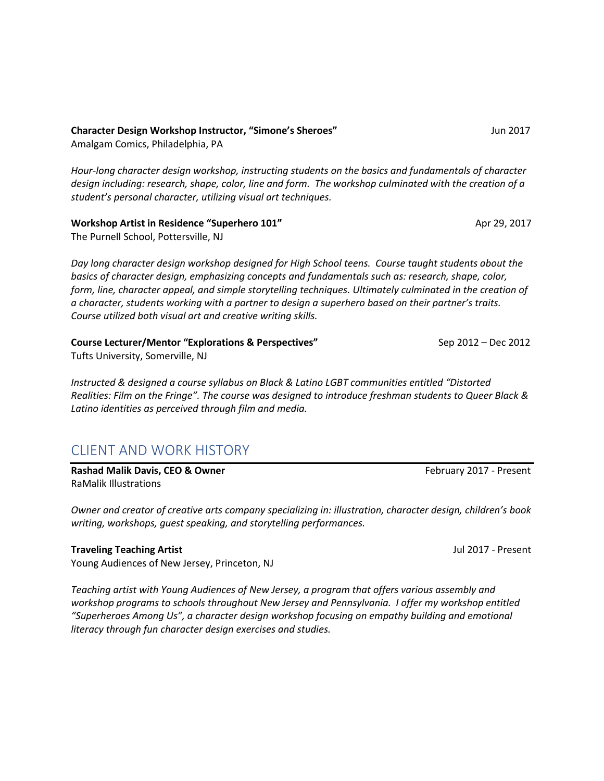### **Character Design Workshop Instructor, "Simone's Sheroes"** Jun 2017

Amalgam Comics, Philadelphia, PA

*Hour-long character design workshop, instructing students on the basics and fundamentals of character design including: research, shape, color, line and form. The workshop culminated with the creation of a student's personal character, utilizing visual art techniques.*

**Workshop Artist in Residence "Superhero 101" 
Apr 29, 2017** 

The Purnell School, Pottersville, NJ

*Day long character design workshop designed for High School teens. Course taught students about the basics of character design, emphasizing concepts and fundamentals such as: research, shape, color, form, line, character appeal, and simple storytelling techniques. Ultimately culminated in the creation of a character, students working with a partner to design a superhero based on their partner's traits. Course utilized both visual art and creative writing skills.*

### **Course Lecturer/Mentor "Explorations & Perspectives"** Sep 2012 – Dec 2012 – Dec 2012

Tufts University, Somerville, NJ

*Instructed & designed a course syllabus on Black & Latino LGBT communities entitled "Distorted Realities: Film on the Fringe". The course was designed to introduce freshman students to Queer Black & Latino identities as perceived through film and media.*

### CLIENT AND WORK HISTORY

**Rashad Malik Davis, CEO & Owner February 2017 - Present** RaMalik Illustrations

*Owner and creator of creative arts company specializing in: illustration, character design, children's book writing, workshops, guest speaking, and storytelling performances.* 

### **Traveling Teaching Artist** Jul 2017 - Present

Young Audiences of New Jersey, Princeton, NJ

*Teaching artist with Young Audiences of New Jersey, a program that offers various assembly and workshop programs to schools throughout New Jersey and Pennsylvania. I offer my workshop entitled "Superheroes Among Us", a character design workshop focusing on empathy building and emotional literacy through fun character design exercises and studies.*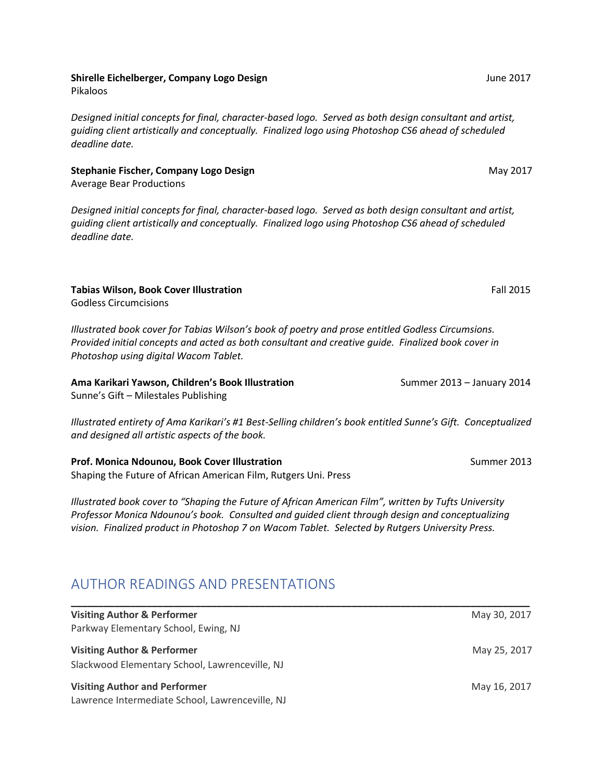### **Shirelle Eichelberger, Company Logo Design** June 2017

Pikaloos

*Designed initial concepts for final, character-based logo. Served as both design consultant and artist, guiding client artistically and conceptually. Finalized logo using Photoshop CS6 ahead of scheduled deadline date.*

**Stephanie Fischer, Company Logo Design** May 2017 Average Bear Productions

*Designed initial concepts for final, character-based logo. Served as both design consultant and artist, guiding client artistically and conceptually. Finalized logo using Photoshop CS6 ahead of scheduled deadline date.*

#### **Tabias Wilson, Book Cover Illustration** Fall 2015 Godless Circumcisions

*Illustrated book cover for Tabias Wilson's book of poetry and prose entitled Godless Circumsions. Provided initial concepts and acted as both consultant and creative guide. Finalized book cover in Photoshop using digital Wacom Tablet.*

### **Ama Karikari Yawson, Children's Book Illustration** Summer 2013 – January 2014

Sunne's Gift – Milestales Publishing

*Illustrated entirety of Ama Karikari's #1 Best-Selling children's book entitled Sunne's Gift. Conceptualized and designed all artistic aspects of the book.* 

**Prof. Monica Ndounou, Book Cover Illustration** Summer 2013 Shaping the Future of African American Film, Rutgers Uni. Press

*Illustrated book cover to "Shaping the Future of African American Film", written by Tufts University Professor Monica Ndounou's book. Consulted and guided client through design and conceptualizing vision. Finalized product in Photoshop 7 on Wacom Tablet. Selected by Rutgers University Press.*

# AUTHOR READINGS AND PRESENTATIONS

| <b>Visiting Author &amp; Performer</b><br>Parkway Elementary School, Ewing, NJ           | May 30, 2017 |
|------------------------------------------------------------------------------------------|--------------|
| <b>Visiting Author &amp; Performer</b><br>Slackwood Elementary School, Lawrenceville, NJ | May 25, 2017 |
| <b>Visiting Author and Performer</b><br>Lawrence Intermediate School, Lawrenceville, NJ  | May 16, 2017 |

**\_\_\_\_\_\_\_\_\_\_\_\_\_\_\_\_\_\_\_\_\_\_\_\_\_\_\_\_\_\_\_\_\_\_\_\_\_\_\_\_\_\_\_\_\_\_\_\_\_\_\_\_\_\_\_\_\_\_\_\_\_\_\_\_\_\_\_\_\_\_\_\_\_\_\_\_\_\_\_\_\_\_\_\_\_**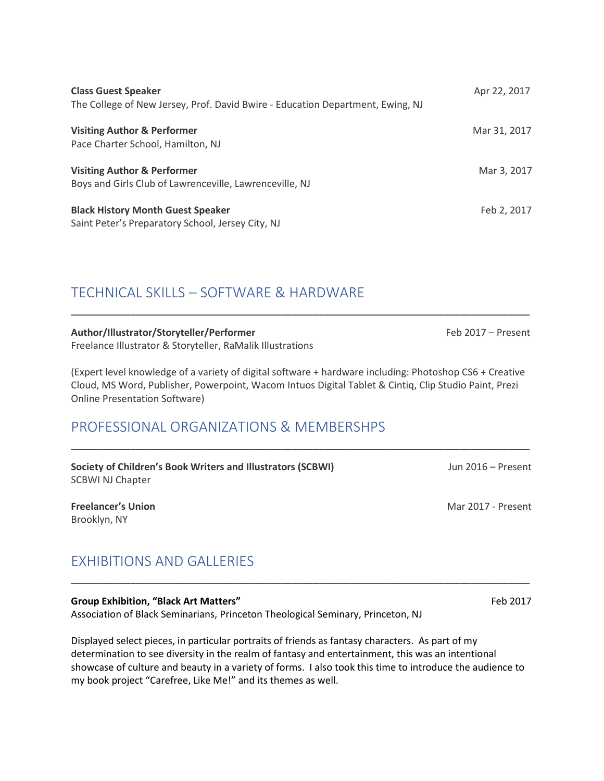| <b>Class Guest Speaker</b><br>The College of New Jersey, Prof. David Bwire - Education Department, Ewing, NJ | Apr 22, 2017 |
|--------------------------------------------------------------------------------------------------------------|--------------|
| <b>Visiting Author &amp; Performer</b><br>Pace Charter School, Hamilton, NJ                                  | Mar 31, 2017 |
| <b>Visiting Author &amp; Performer</b><br>Boys and Girls Club of Lawrenceville, Lawrenceville, NJ            | Mar 3, 2017  |
| <b>Black History Month Guest Speaker</b><br>Saint Peter's Preparatory School, Jersey City, NJ                | Feb 2, 2017  |

# TECHNICAL SKILLS – SOFTWARE & HARDWARE

| Author/Illustrator/Storyteller/Performer<br>Freelance Illustrator & Storyteller, RaMalik Illustrations                                                                                                                                                   | Feb 2017 – Present |
|----------------------------------------------------------------------------------------------------------------------------------------------------------------------------------------------------------------------------------------------------------|--------------------|
| (Expert level knowledge of a variety of digital software + hardware including: Photoshop CS6 + Creative<br>Cloud, MS Word, Publisher, Powerpoint, Wacom Intuos Digital Tablet & Cintiq, Clip Studio Paint, Prezi<br><b>Online Presentation Software)</b> |                    |
| PROFESSIONAL ORGANIZATIONS & MEMBERSHPS                                                                                                                                                                                                                  |                    |
| Society of Children's Book Writers and Illustrators (SCBWI)<br><b>SCBWI NJ Chapter</b>                                                                                                                                                                   | Jun 2016 – Present |

\_\_\_\_\_\_\_\_\_\_\_\_\_\_\_\_\_\_\_\_\_\_\_\_\_\_\_\_\_\_\_\_\_\_\_\_\_\_\_\_\_\_\_\_\_\_\_\_\_\_\_\_\_\_\_\_\_\_\_\_\_\_\_\_\_\_\_\_\_\_\_\_\_\_\_\_\_\_\_\_\_\_\_\_\_

Brooklyn, NY

**Freelancer's Union** Mar 2017 - Present

# EXHIBITIONS AND GALLERIES

### **Group Exhibition, "Black Art Matters"** Feb 2017

Association of Black Seminarians, Princeton Theological Seminary, Princeton, NJ

Displayed select pieces, in particular portraits of friends as fantasy characters. As part of my determination to see diversity in the realm of fantasy and entertainment, this was an intentional showcase of culture and beauty in a variety of forms. I also took this time to introduce the audience to my book project "Carefree, Like Me!" and its themes as well.

\_\_\_\_\_\_\_\_\_\_\_\_\_\_\_\_\_\_\_\_\_\_\_\_\_\_\_\_\_\_\_\_\_\_\_\_\_\_\_\_\_\_\_\_\_\_\_\_\_\_\_\_\_\_\_\_\_\_\_\_\_\_\_\_\_\_\_\_\_\_\_\_\_\_\_\_\_\_\_\_\_\_\_\_\_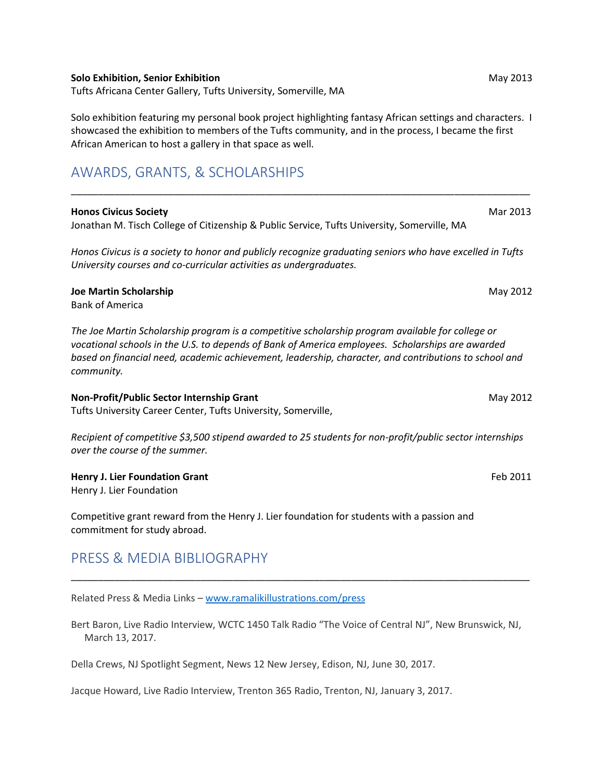#### **Solo Exhibition, Senior Exhibition** May 2013

Tufts Africana Center Gallery, Tufts University, Somerville, MA

Solo exhibition featuring my personal book project highlighting fantasy African settings and characters. I showcased the exhibition to members of the Tufts community, and in the process, I became the first African American to host a gallery in that space as well.

\_\_\_\_\_\_\_\_\_\_\_\_\_\_\_\_\_\_\_\_\_\_\_\_\_\_\_\_\_\_\_\_\_\_\_\_\_\_\_\_\_\_\_\_\_\_\_\_\_\_\_\_\_\_\_\_\_\_\_\_\_\_\_\_\_\_\_\_\_\_\_\_\_\_\_\_\_\_\_\_\_\_\_\_\_

## AWARDS, GRANTS, & SCHOLARSHIPS

# **Honos Civicus Society Mar 2013** Jonathan M. Tisch College of Citizenship & Public Service, Tufts University, Somerville, MA *Honos Civicus is a society to honor and publicly recognize graduating seniors who have excelled in Tufts University courses and co-curricular activities as undergraduates.*  **Joe Martin Scholarship** May 2012 Bank of America

*The Joe Martin Scholarship program is a competitive scholarship program available for college or vocational schools in the U.S. to depends of Bank of America employees. Scholarships are awarded based on financial need, academic achievement, leadership, character, and contributions to school and community.*

### **Non-Profit/Public Sector Internship Grant** May 2012

Tufts University Career Center, Tufts University, Somerville,

*Recipient of competitive \$3,500 stipend awarded to 25 students for non-profit/public sector internships over the course of the summer.*

### **Henry J. Lier Foundation Grant**  Feb 2011

Henry J. Lier Foundation

Competitive grant reward from the Henry J. Lier foundation for students with a passion and commitment for study abroad.

### PRESS & MEDIA BIBLIOGRAPHY

Related Press & Media Links – [www.ramalikillustrations.com/press](http://www.ramalikillustrations.com/press)

Bert Baron, Live Radio Interview, WCTC 1450 Talk Radio "The Voice of Central NJ", New Brunswick, NJ, March 13, 2017.

\_\_\_\_\_\_\_\_\_\_\_\_\_\_\_\_\_\_\_\_\_\_\_\_\_\_\_\_\_\_\_\_\_\_\_\_\_\_\_\_\_\_\_\_\_\_\_\_\_\_\_\_\_\_\_\_\_\_\_\_\_\_\_\_\_\_\_\_\_\_\_\_\_\_\_\_\_\_\_\_\_\_\_\_\_

Della Crews, NJ Spotlight Segment, News 12 New Jersey, Edison, NJ, June 30, 2017.

Jacque Howard, Live Radio Interview, Trenton 365 Radio, Trenton, NJ, January 3, 2017.